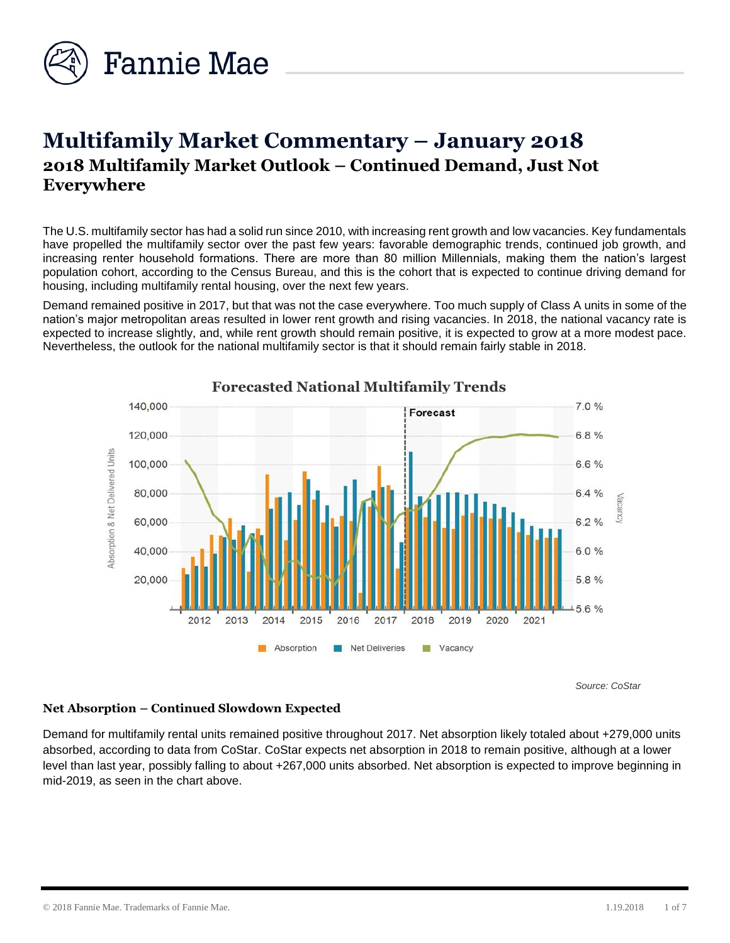

# **Multifamily Market Commentary – January 2018 2018 Multifamily Market Outlook – Continued Demand, Just Not Everywhere**

The U.S. multifamily sector has had a solid run since 2010, with increasing rent growth and low vacancies. Key fundamentals have propelled the multifamily sector over the past few years: favorable demographic trends, continued job growth, and increasing renter household formations. There are more than 80 million Millennials, making them the nation's largest population cohort, according to the Census Bureau, and this is the cohort that is expected to continue driving demand for housing, including multifamily rental housing, over the next few years.

Demand remained positive in 2017, but that was not the case everywhere. Too much supply of Class A units in some of the nation's major metropolitan areas resulted in lower rent growth and rising vacancies. In 2018, the national vacancy rate is expected to increase slightly, and, while rent growth should remain positive, it is expected to grow at a more modest pace. Nevertheless, the outlook for the national multifamily sector is that it should remain fairly stable in 2018.



**Forecasted National Multifamily Trends**

*Source: CoStar*

# **Net Absorption – Continued Slowdown Expected**

Demand for multifamily rental units remained positive throughout 2017. Net absorption likely totaled about +279,000 units absorbed, according to data from CoStar. CoStar expects net absorption in 2018 to remain positive, although at a lower level than last year, possibly falling to about +267,000 units absorbed. Net absorption is expected to improve beginning in mid-2019, as seen in the chart above.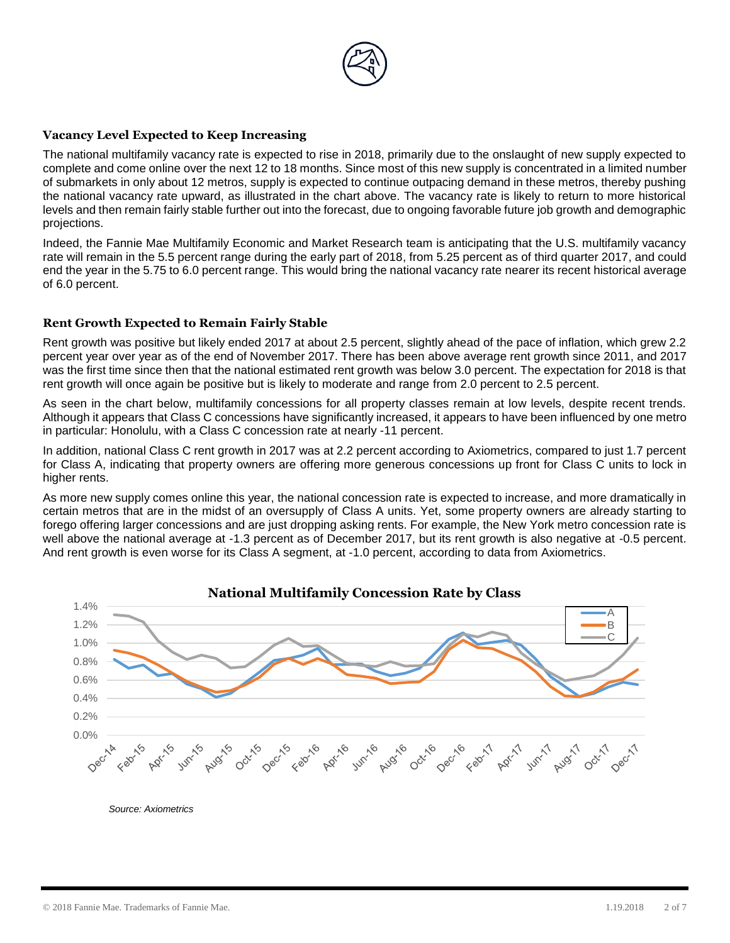

#### **Vacancy Level Expected to Keep Increasing**

The national multifamily vacancy rate is expected to rise in 2018, primarily due to the onslaught of new supply expected to complete and come online over the next 12 to 18 months. Since most of this new supply is concentrated in a limited number of submarkets in only about 12 metros, supply is expected to continue outpacing demand in these metros, thereby pushing the national vacancy rate upward, as illustrated in the chart above. The vacancy rate is likely to return to more historical levels and then remain fairly stable further out into the forecast, due to ongoing favorable future job growth and demographic projections.

Indeed, the Fannie Mae Multifamily Economic and Market Research team is anticipating that the U.S. multifamily vacancy rate will remain in the 5.5 percent range during the early part of 2018, from 5.25 percent as of third quarter 2017, and could end the year in the 5.75 to 6.0 percent range. This would bring the national vacancy rate nearer its recent historical average of 6.0 percent.

#### **Rent Growth Expected to Remain Fairly Stable**

Rent growth was positive but likely ended 2017 at about 2.5 percent, slightly ahead of the pace of inflation, which grew 2.2 percent year over year as of the end of November 2017. There has been above average rent growth since 2011, and 2017 was the first time since then that the national estimated rent growth was below 3.0 percent. The expectation for 2018 is that rent growth will once again be positive but is likely to moderate and range from 2.0 percent to 2.5 percent.

As seen in the chart below, multifamily concessions for all property classes remain at low levels, despite recent trends. Although it appears that Class C concessions have significantly increased, it appears to have been influenced by one metro in particular: Honolulu, with a Class C concession rate at nearly -11 percent.

In addition, national Class C rent growth in 2017 was at 2.2 percent according to Axiometrics, compared to just 1.7 percent for Class A, indicating that property owners are offering more generous concessions up front for Class C units to lock in higher rents.

As more new supply comes online this year, the national concession rate is expected to increase, and more dramatically in certain metros that are in the midst of an oversupply of Class A units. Yet, some property owners are already starting to forego offering larger concessions and are just dropping asking rents. For example, the New York metro concession rate is well above the national average at -1.3 percent as of December 2017, but its rent growth is also negative at -0.5 percent. And rent growth is even worse for its Class A segment, at -1.0 percent, according to data from Axiometrics.



*Source: Axiometrics*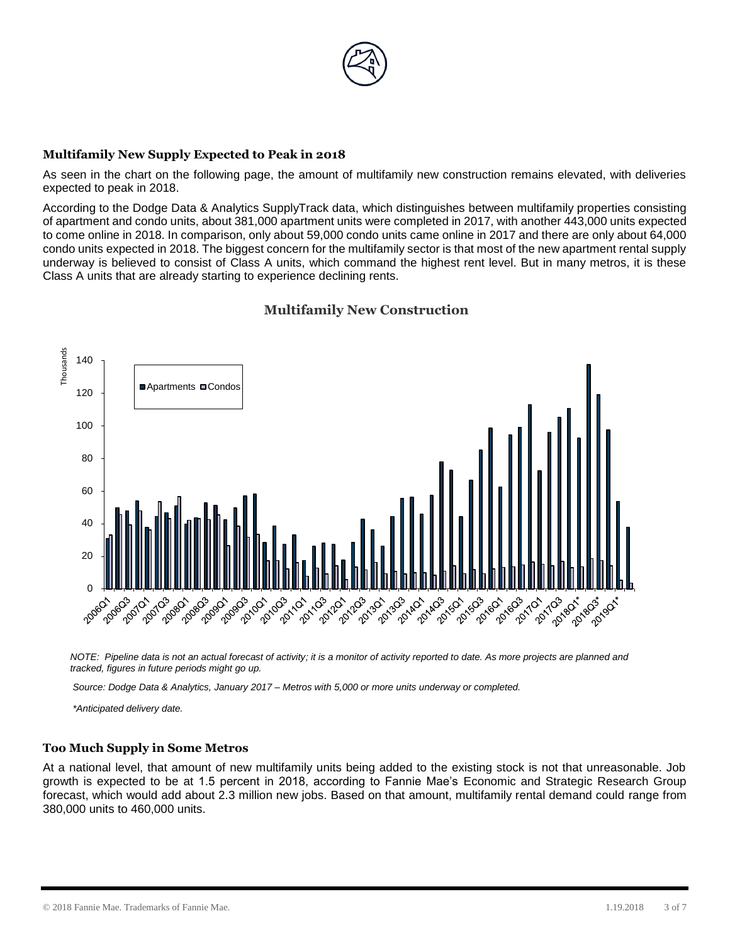

## **Multifamily New Supply Expected to Peak in 2018**

As seen in the chart on the following page, the amount of multifamily new construction remains elevated, with deliveries expected to peak in 2018.

According to the Dodge Data & Analytics SupplyTrack data, which distinguishes between multifamily properties consisting of apartment and condo units, about 381,000 apartment units were completed in 2017, with another 443,000 units expected to come online in 2018. In comparison, only about 59,000 condo units came online in 2017 and there are only about 64,000 condo units expected in 2018. The biggest concern for the multifamily sector is that most of the new apartment rental supply underway is believed to consist of Class A units, which command the highest rent level. But in many metros, it is these Class A units that are already starting to experience declining rents.



# **Multifamily New Construction**

*NOTE: Pipeline data is not an actual forecast of activity; it is a monitor of activity reported to date. As more projects are planned and tracked, figures in future periods might go up.* 

*Source: Dodge Data & Analytics, January 2017 – Metros with 5,000 or more units underway or completed.*

*\*Anticipated delivery date.*

#### **Too Much Supply in Some Metros**

At a national level, that amount of new multifamily units being added to the existing stock is not that unreasonable. Job growth is expected to be at 1.5 percent in 2018, according to Fannie Mae's Economic and Strategic Research Group forecast, which would add about 2.3 million new jobs. Based on that amount, multifamily rental demand could range from 380,000 units to 460,000 units.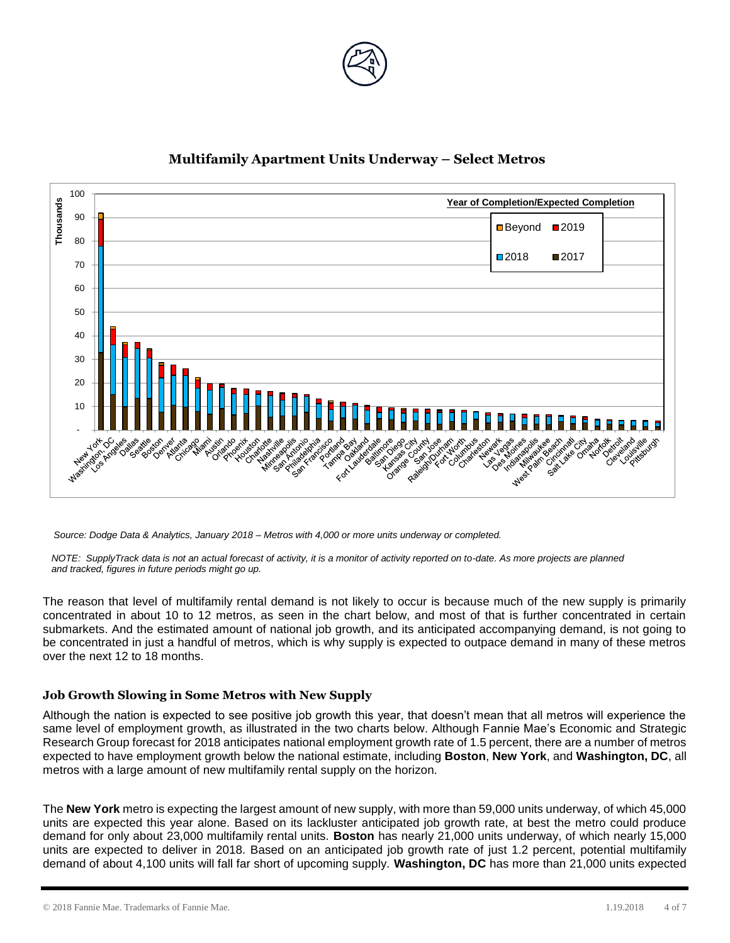



# **Multifamily Apartment Units Underway – Select Metros**

*Source: Dodge Data & Analytics, January 2018 – Metros with 4,000 or more units underway or completed.*

*NOTE: SupplyTrack data is not an actual forecast of activity, it is a monitor of activity reported on to-date. As more projects are planned and tracked, figures in future periods might go up.* 

The reason that level of multifamily rental demand is not likely to occur is because much of the new supply is primarily concentrated in about 10 to 12 metros, as seen in the chart below, and most of that is further concentrated in certain submarkets. And the estimated amount of national job growth, and its anticipated accompanying demand, is not going to be concentrated in just a handful of metros, which is why supply is expected to outpace demand in many of these metros over the next 12 to 18 months.

# **Job Growth Slowing in Some Metros with New Supply**

Although the nation is expected to see positive job growth this year, that doesn't mean that all metros will experience the same level of employment growth, as illustrated in the two charts below. Although Fannie Mae's Economic and Strategic Research Group forecast for 2018 anticipates national employment growth rate of 1.5 percent, there are a number of metros expected to have employment growth below the national estimate, including **Boston**, **New York**, and **Washington, DC**, all metros with a large amount of new multifamily rental supply on the horizon.

The **New York** metro is expecting the largest amount of new supply, with more than 59,000 units underway, of which 45,000 units are expected this year alone. Based on its lackluster anticipated job growth rate, at best the metro could produce demand for only about 23,000 multifamily rental units. **Boston** has nearly 21,000 units underway, of which nearly 15,000 units are expected to deliver in 2018. Based on an anticipated job growth rate of just 1.2 percent, potential multifamily demand of about 4,100 units will fall far short of upcoming supply. **Washington, DC** has more than 21,000 units expected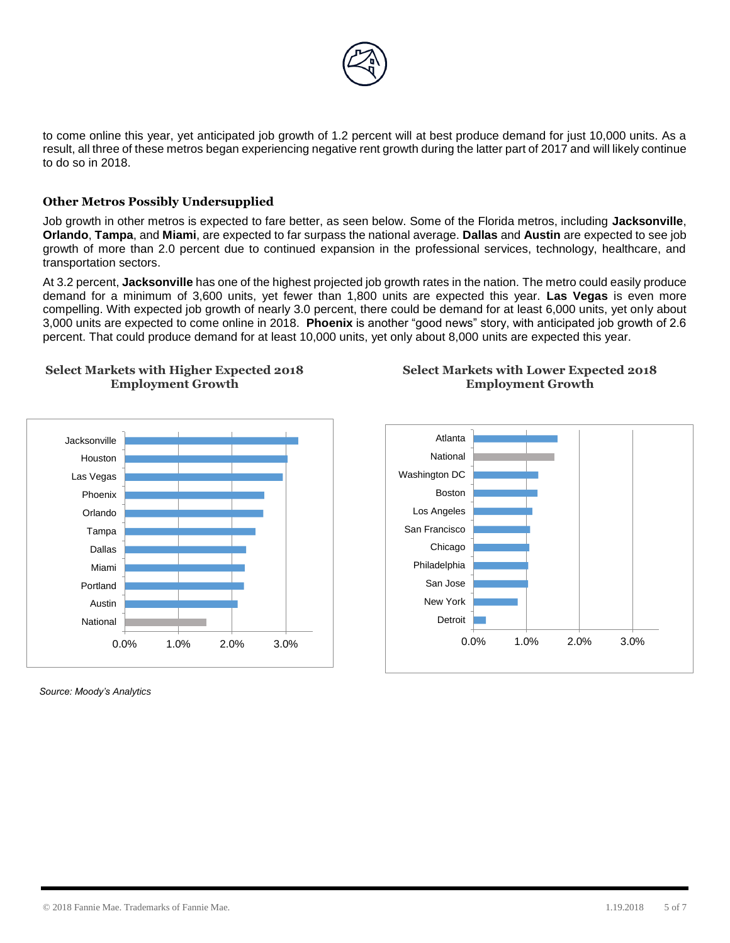

to come online this year, yet anticipated job growth of 1.2 percent will at best produce demand for just 10,000 units. As a result, all three of these metros began experiencing negative rent growth during the latter part of 2017 and will likely continue to do so in 2018.

## **Other Metros Possibly Undersupplied**

Job growth in other metros is expected to fare better, as seen below. Some of the Florida metros, including **Jacksonville**, **Orlando**, **Tampa**, and **Miami**, are expected to far surpass the national average. **Dallas** and **Austin** are expected to see job growth of more than 2.0 percent due to continued expansion in the professional services, technology, healthcare, and transportation sectors.

At 3.2 percent, **Jacksonville** has one of the highest projected job growth rates in the nation. The metro could easily produce demand for a minimum of 3,600 units, yet fewer than 1,800 units are expected this year. **Las Vegas** is even more compelling. With expected job growth of nearly 3.0 percent, there could be demand for at least 6,000 units, yet only about 3,000 units are expected to come online in 2018. **Phoenix** is another "good news" story, with anticipated job growth of 2.6 percent. That could produce demand for at least 10,000 units, yet only about 8,000 units are expected this year.





*Source: Moody's Analytics*

## **Select Markets with Lower Expected 2018 Employment Growth**

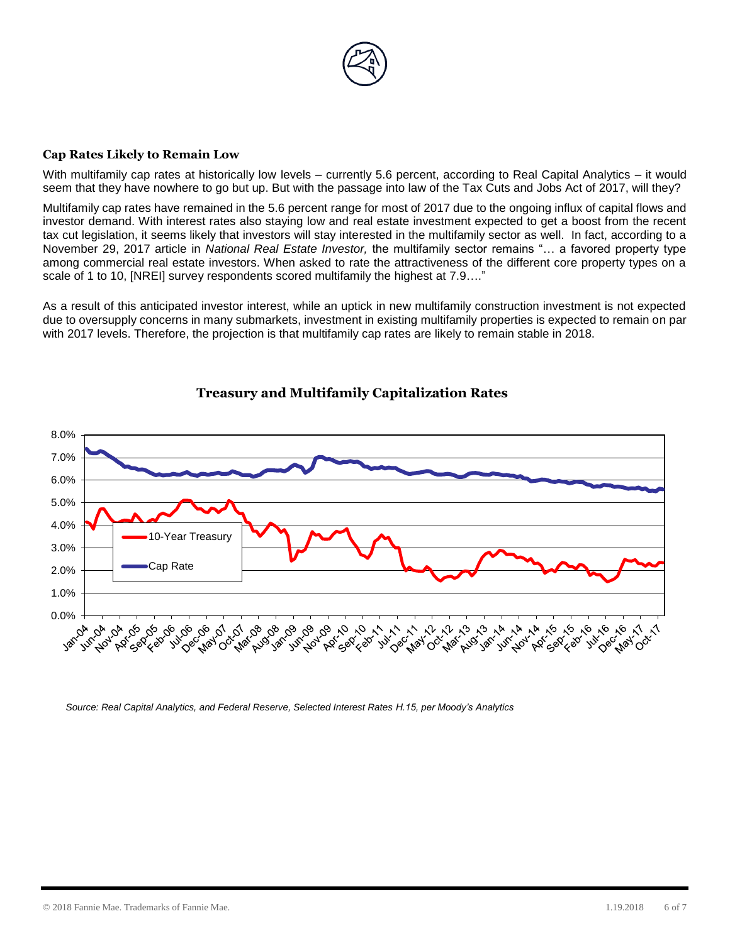

#### **Cap Rates Likely to Remain Low**

With multifamily cap rates at historically low levels – currently 5.6 percent, according to Real Capital Analytics – it would seem that they have nowhere to go but up. But with the passage into law of the Tax Cuts and Jobs Act of 2017, will they?

Multifamily cap rates have remained in the 5.6 percent range for most of 2017 due to the ongoing influx of capital flows and investor demand. With interest rates also staying low and real estate investment expected to get a boost from the recent tax cut legislation, it seems likely that investors will stay interested in the multifamily sector as well. In fact, according to a November 29, 2017 article in *National Real Estate Investor,* the multifamily sector remains "… a favored property type among commercial real estate investors. When asked to rate the attractiveness of the different core property types on a scale of 1 to 10, [NREI] survey respondents scored multifamily the highest at 7.9…."

As a result of this anticipated investor interest, while an uptick in new multifamily construction investment is not expected due to oversupply concerns in many submarkets, investment in existing multifamily properties is expected to remain on par with 2017 levels. Therefore, the projection is that multifamily cap rates are likely to remain stable in 2018.



# **Treasury and Multifamily Capitalization Rates**

*Source: Real Capital Analytics, and Federal Reserve, Selected Interest Rates H.15, per Moody's Analytics*